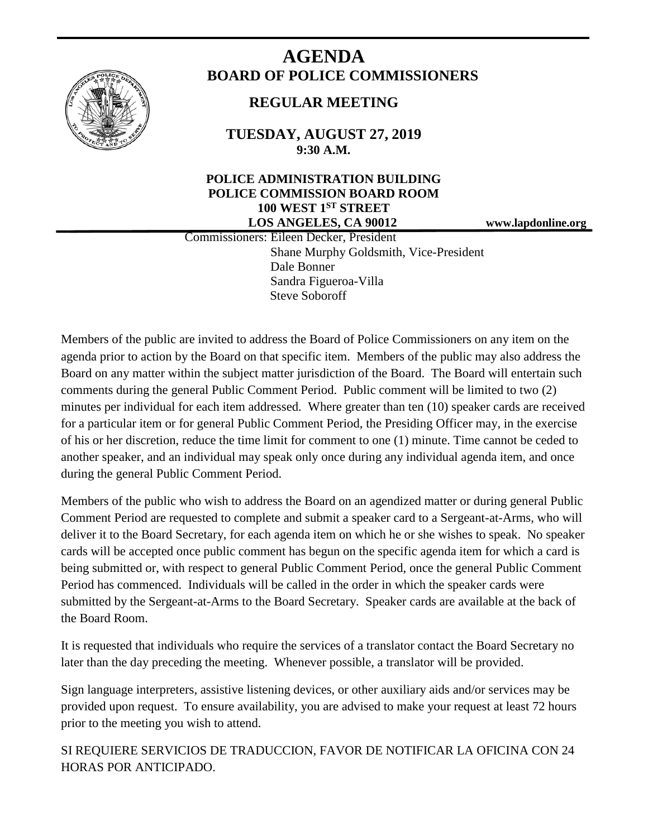

# **AGENDA BOARD OF POLICE COMMISSIONERS**

# **REGULAR MEETING**

**TUESDAY, AUGUST 27, 2019 9:30 A.M.**

## **POLICE ADMINISTRATION BUILDING POLICE COMMISSION BOARD ROOM 100 WEST 1ST STREET LOS ANGELES, CA 90012 www.lapdonline.org**

 Commissioners: Eileen Decker, President Shane Murphy Goldsmith, Vice-President Dale Bonner Sandra Figueroa-Villa Steve Soboroff

Members of the public are invited to address the Board of Police Commissioners on any item on the agenda prior to action by the Board on that specific item. Members of the public may also address the Board on any matter within the subject matter jurisdiction of the Board. The Board will entertain such comments during the general Public Comment Period. Public comment will be limited to two (2) minutes per individual for each item addressed. Where greater than ten (10) speaker cards are received for a particular item or for general Public Comment Period, the Presiding Officer may, in the exercise of his or her discretion, reduce the time limit for comment to one (1) minute. Time cannot be ceded to another speaker, and an individual may speak only once during any individual agenda item, and once during the general Public Comment Period.

Members of the public who wish to address the Board on an agendized matter or during general Public Comment Period are requested to complete and submit a speaker card to a Sergeant-at-Arms, who will deliver it to the Board Secretary, for each agenda item on which he or she wishes to speak. No speaker cards will be accepted once public comment has begun on the specific agenda item for which a card is being submitted or, with respect to general Public Comment Period, once the general Public Comment Period has commenced. Individuals will be called in the order in which the speaker cards were submitted by the Sergeant-at-Arms to the Board Secretary. Speaker cards are available at the back of the Board Room.

It is requested that individuals who require the services of a translator contact the Board Secretary no later than the day preceding the meeting. Whenever possible, a translator will be provided.

Sign language interpreters, assistive listening devices, or other auxiliary aids and/or services may be provided upon request. To ensure availability, you are advised to make your request at least 72 hours prior to the meeting you wish to attend.

SI REQUIERE SERVICIOS DE TRADUCCION, FAVOR DE NOTIFICAR LA OFICINA CON 24 HORAS POR ANTICIPADO.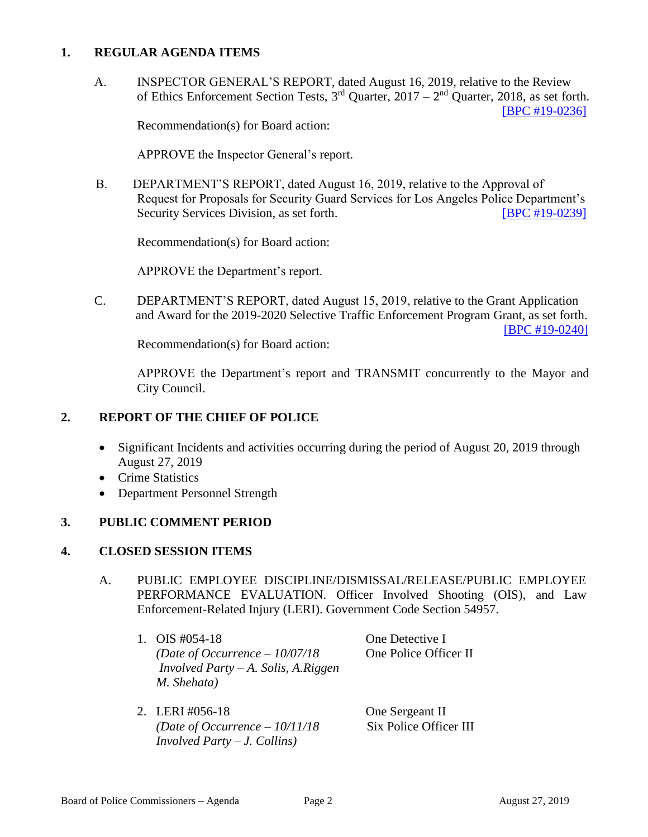#### **1. REGULAR AGENDA ITEMS**

A. INSPECTOR GENERAL'S REPORT, dated August 16, 2019, relative to the Review of Ethics Enforcement Section Tests,  $3<sup>rd</sup>$  Quarter,  $2017 - 2<sup>nd</sup>$  Quarter, 2018, as set forth. [\[BPC #19-0236\]](http://www.lapdpolicecom.lacity.org/082719/BPC_19-0236.pdf) 

Recommendation(s) for Board action:

APPROVE the Inspector General's report.

 B. DEPARTMENT'S REPORT, dated August 16, 2019, relative to the Approval of Request for Proposals for Security Guard Services for Los Angeles Police Department's Security Services Division, as set forth. [\[BPC #19-0239\]](http://www.lapdpolicecom.lacity.org/082719/BPC_19-0239.pdf)

Recommendation(s) for Board action:

APPROVE the Department's report.

C. DEPARTMENT'S REPORT, dated August 15, 2019, relative to the Grant Application and Award for the 2019-2020 Selective Traffic Enforcement Program Grant, as set forth. [\[BPC #19-0240\]](http://www.lapdpolicecom.lacity.org/082719/BPC_19-0240.pdf)

Recommendation(s) for Board action:

APPROVE the Department's report and TRANSMIT concurrently to the Mayor and City Council.

#### **2. REPORT OF THE CHIEF OF POLICE**

- Significant Incidents and activities occurring during the period of August 20, 2019 through August 27, 2019
- Crime Statistics
- Department Personnel Strength

## **3. PUBLIC COMMENT PERIOD**

#### **4. CLOSED SESSION ITEMS**

- A. PUBLIC EMPLOYEE DISCIPLINE/DISMISSAL/RELEASE/PUBLIC EMPLOYEE PERFORMANCE EVALUATION. Officer Involved Shooting (OIS), and Law Enforcement-Related Injury (LERI). Government Code Section 54957.
	- 1. OIS #054-18 One Detective I *(Date of Occurrence – 10/07/18* One Police Officer II *Involved Party – A. Solis, A.Riggen M. Shehata)*
	- 2. LERI #056-18 One Sergeant II *(Date of Occurrence – 10/11/18* Six Police Officer III  *Involved Party – J. Collins)*